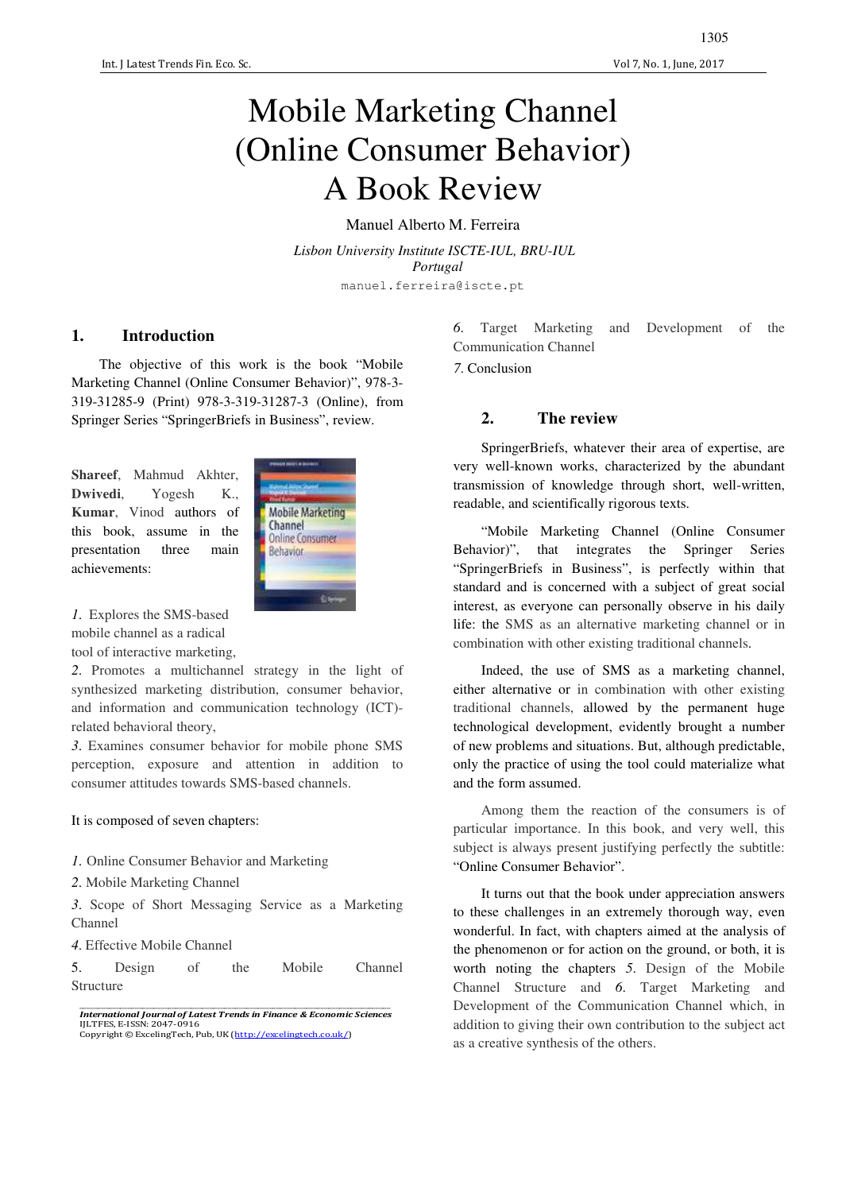## Mobile Marketing Channel (Online Consumer Behavior) A Book Review

Manuel Alberto M. Ferreira

*Lisbon University Institute ISCTE-IUL, BRU-IUL Portugal* manuel.ferreira@iscte.pt

## **1. Introduction**

The objective of this work is the book "Mobile Marketing Channel (Online Consumer Behavior)", 978-3- 319-31285-9 (Print) 978-3-319-31287-3 (Online), from Springer Series "SpringerBriefs in Business", review.

**Shareef**, Mahmud Akhter, **Dwivedi**, Yogesh K., **Kumar**, Vinod authors of this book, assume in the presentation three main achievements:



*1*. Explores the SMS-based mobile channel as a radical tool of interactive marketing,

*2*. Promotes a multichannel strategy in the light of synthesized marketing distribution, consumer behavior, and information and communication technology (ICT) related behavioral theory,

*3*. Examines consumer behavior for mobile phone SMS perception, exposure and attention in addition to consumer attitudes towards SMS-based channels.

## It is composed of seven chapters:

- *1*. Online Consumer Behavior and Marketing
- *2*. Mobile Marketing Channel

*3*. Scope of Short Messaging Service as a Marketing Channel

*4*. Effective Mobile Channel

5. Design of the Mobile Channel Structure

*6*. Target Marketing and Development of the Communication Channel

*7*. Conclusion

## **2. The review**

SpringerBriefs, whatever their area of expertise, are very well-known works, characterized by the abundant transmission of knowledge through short, well-written, readable, and scientifically rigorous texts.

"Mobile Marketing Channel (Online Consumer Behavior)", that integrates the Springer Series "SpringerBriefs in Business", is perfectly within that standard and is concerned with a subject of great social interest, as everyone can personally observe in his daily life: the SMS as an alternative marketing channel or in combination with other existing traditional channels.

Indeed, the use of SMS as a marketing channel, either alternative or in combination with other existing traditional channels, allowed by the permanent huge technological development, evidently brought a number of new problems and situations. But, although predictable, only the practice of using the tool could materialize what and the form assumed.

Among them the reaction of the consumers is of particular importance. In this book, and very well, this subject is always present justifying perfectly the subtitle: "Online Consumer Behavior".

It turns out that the book under appreciation answers to these challenges in an extremely thorough way, even wonderful. In fact, with chapters aimed at the analysis of the phenomenon or for action on the ground, or both, it is worth noting the chapters *5*. Design of the Mobile Channel Structure and *6*. Target Marketing and Development of the Communication Channel which, in addition to giving their own contribution to the subject act as a creative synthesis of the others.

\_\_\_\_\_\_\_\_\_\_\_\_\_\_\_\_\_\_\_\_\_\_\_\_\_\_\_\_\_\_\_\_\_\_\_\_\_\_\_\_\_\_\_\_\_\_\_\_\_\_\_\_\_\_\_\_\_\_\_\_\_\_\_\_\_\_\_\_\_\_\_\_\_\_\_\_\_\_\_\_\_\_\_\_ *International Journal of Latest Trends in Finance & Economic Sciences*  IJLTFES, E-ISSN: 2047-0916<br>Copyright © ExcelingTech, Pub, UK (<u>http://excelingtech.co.uk/</u>)